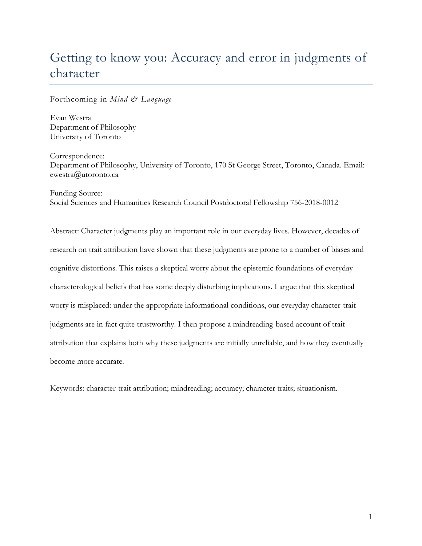# Getting to know you: Accuracy and error in judgments of character

Forthcoming in *Mind & Language*

Evan Westra Department of Philosophy University of Toronto

Correspondence: Department of Philosophy, University of Toronto, 170 St George Street, Toronto, Canada. Email: ewestra@utoronto.ca

Funding Source: Social Sciences and Humanities Research Council Postdoctoral Fellowship 756-2018-0012

Abstract: Character judgments play an important role in our everyday lives. However, decades of research on trait attribution have shown that these judgments are prone to a number of biases and cognitive distortions. This raises a skeptical worry about the epistemic foundations of everyday characterological beliefs that has some deeply disturbing implications. I argue that this skeptical worry is misplaced: under the appropriate informational conditions, our everyday character-trait judgments are in fact quite trustworthy. I then propose a mindreading-based account of trait attribution that explains both why these judgments are initially unreliable, and how they eventually become more accurate.

Keywords: character-trait attribution; mindreading; accuracy; character traits; situationism.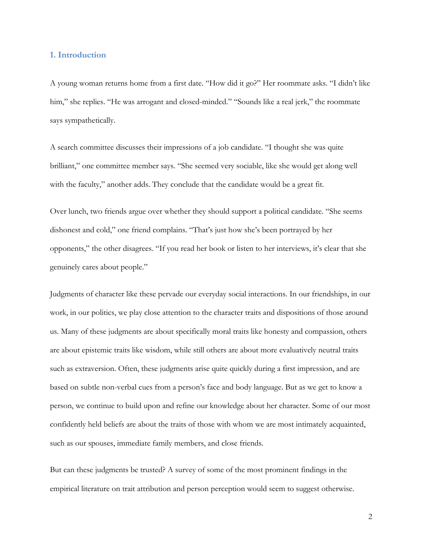## **1. Introduction**

A young woman returns home from a first date. "How did it go?" Her roommate asks. "I didn't like him," she replies. "He was arrogant and closed-minded." "Sounds like a real jerk," the roommate says sympathetically.

A search committee discusses their impressions of a job candidate. "I thought she was quite brilliant," one committee member says. "She seemed very sociable, like she would get along well with the faculty," another adds. They conclude that the candidate would be a great fit.

Over lunch, two friends argue over whether they should support a political candidate. "She seems dishonest and cold," one friend complains. "That's just how she's been portrayed by her opponents," the other disagrees. "If you read her book or listen to her interviews, it's clear that she genuinely cares about people."

Judgments of character like these pervade our everyday social interactions. In our friendships, in our work, in our politics, we play close attention to the character traits and dispositions of those around us. Many of these judgments are about specifically moral traits like honesty and compassion, others are about epistemic traits like wisdom, while still others are about more evaluatively neutral traits such as extraversion. Often, these judgments arise quite quickly during a first impression, and are based on subtle non-verbal cues from a person's face and body language. But as we get to know a person, we continue to build upon and refine our knowledge about her character. Some of our most confidently held beliefs are about the traits of those with whom we are most intimately acquainted, such as our spouses, immediate family members, and close friends.

But can these judgments be trusted? A survey of some of the most prominent findings in the empirical literature on trait attribution and person perception would seem to suggest otherwise.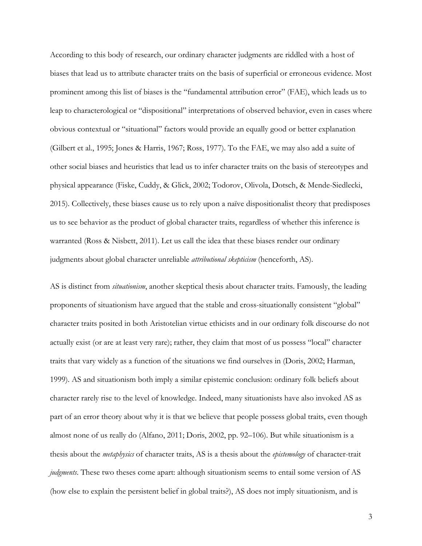According to this body of research, our ordinary character judgments are riddled with a host of biases that lead us to attribute character traits on the basis of superficial or erroneous evidence. Most prominent among this list of biases is the "fundamental attribution error" (FAE), which leads us to leap to characterological or "dispositional" interpretations of observed behavior, even in cases where obvious contextual or "situational" factors would provide an equally good or better explanation (Gilbert et al., 1995; Jones & Harris, 1967; Ross, 1977). To the FAE, we may also add a suite of other social biases and heuristics that lead us to infer character traits on the basis of stereotypes and physical appearance (Fiske, Cuddy, & Glick, 2002; Todorov, Olivola, Dotsch, & Mende-Siedlecki, 2015). Collectively, these biases cause us to rely upon a naïve dispositionalist theory that predisposes us to see behavior as the product of global character traits, regardless of whether this inference is warranted (Ross & Nisbett, 2011). Let us call the idea that these biases render our ordinary judgments about global character unreliable *attributional skepticism* (henceforth, AS).

AS is distinct from *situationism*, another skeptical thesis about character traits. Famously, the leading proponents of situationism have argued that the stable and cross-situationally consistent "global" character traits posited in both Aristotelian virtue ethicists and in our ordinary folk discourse do not actually exist (or are at least very rare); rather, they claim that most of us possess "local" character traits that vary widely as a function of the situations we find ourselves in (Doris, 2002; Harman, 1999). AS and situationism both imply a similar epistemic conclusion: ordinary folk beliefs about character rarely rise to the level of knowledge. Indeed, many situationists have also invoked AS as part of an error theory about why it is that we believe that people possess global traits, even though almost none of us really do (Alfano, 2011; Doris, 2002, pp. 92–106). But while situationism is a thesis about the *metaphysics* of character traits, AS is a thesis about the *epistemology* of character-trait *judgments*. These two theses come apart: although situationism seems to entail some version of AS (how else to explain the persistent belief in global traits?), AS does not imply situationism, and is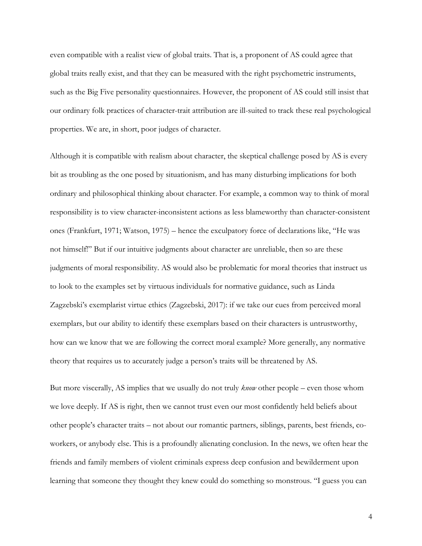even compatible with a realist view of global traits. That is, a proponent of AS could agree that global traits really exist, and that they can be measured with the right psychometric instruments, such as the Big Five personality questionnaires. However, the proponent of AS could still insist that our ordinary folk practices of character-trait attribution are ill-suited to track these real psychological properties. We are, in short, poor judges of character.

Although it is compatible with realism about character, the skeptical challenge posed by AS is every bit as troubling as the one posed by situationism, and has many disturbing implications for both ordinary and philosophical thinking about character. For example, a common way to think of moral responsibility is to view character-inconsistent actions as less blameworthy than character-consistent ones (Frankfurt, 1971; Watson, 1975) – hence the exculpatory force of declarations like, "He was not himself!" But if our intuitive judgments about character are unreliable, then so are these judgments of moral responsibility. AS would also be problematic for moral theories that instruct us to look to the examples set by virtuous individuals for normative guidance, such as Linda Zagzebski's exemplarist virtue ethics (Zagzebski, 2017): if we take our cues from perceived moral exemplars, but our ability to identify these exemplars based on their characters is untrustworthy, how can we know that we are following the correct moral example? More generally, any normative theory that requires us to accurately judge a person's traits will be threatened by AS.

But more viscerally, AS implies that we usually do not truly *know* other people – even those whom we love deeply. If AS is right, then we cannot trust even our most confidently held beliefs about other people's character traits – not about our romantic partners, siblings, parents, best friends, coworkers, or anybody else. This is a profoundly alienating conclusion. In the news, we often hear the friends and family members of violent criminals express deep confusion and bewilderment upon learning that someone they thought they knew could do something so monstrous. "I guess you can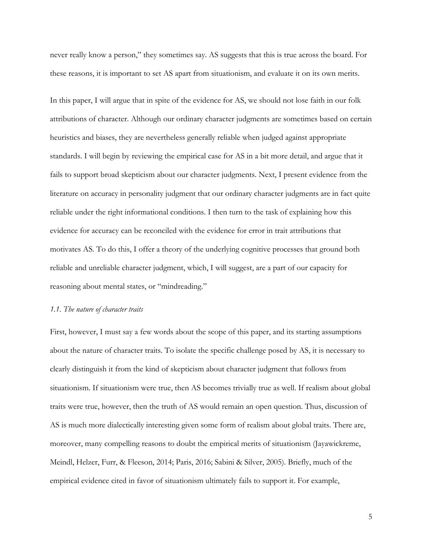never really know a person," they sometimes say. AS suggests that this is true across the board. For these reasons, it is important to set AS apart from situationism, and evaluate it on its own merits.

In this paper, I will argue that in spite of the evidence for AS, we should not lose faith in our folk attributions of character. Although our ordinary character judgments are sometimes based on certain heuristics and biases, they are nevertheless generally reliable when judged against appropriate standards. I will begin by reviewing the empirical case for AS in a bit more detail, and argue that it fails to support broad skepticism about our character judgments. Next, I present evidence from the literature on accuracy in personality judgment that our ordinary character judgments are in fact quite reliable under the right informational conditions. I then turn to the task of explaining how this evidence for accuracy can be reconciled with the evidence for error in trait attributions that motivates AS. To do this, I offer a theory of the underlying cognitive processes that ground both reliable and unreliable character judgment, which, I will suggest, are a part of our capacity for reasoning about mental states, or "mindreading."

#### *1.1. The nature of character traits*

First, however, I must say a few words about the scope of this paper, and its starting assumptions about the nature of character traits. To isolate the specific challenge posed by AS, it is necessary to clearly distinguish it from the kind of skepticism about character judgment that follows from situationism. If situationism were true, then AS becomes trivially true as well. If realism about global traits were true, however, then the truth of AS would remain an open question. Thus, discussion of AS is much more dialectically interesting given some form of realism about global traits. There are, moreover, many compelling reasons to doubt the empirical merits of situationism (Jayawickreme, Meindl, Helzer, Furr, & Fleeson, 2014; Paris, 2016; Sabini & Silver, 2005). Briefly, much of the empirical evidence cited in favor of situationism ultimately fails to support it. For example,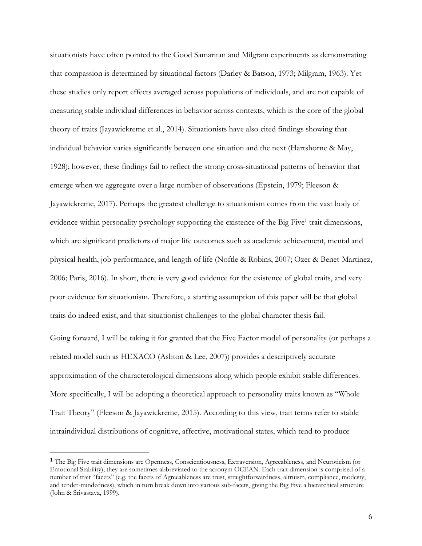situationists have often pointed to the Good Samaritan and Milgram experiments as demonstrating that compassion is determined by situational factors (Darley & Batson, 1973; Milgram, 1963). Yet these studies only report effects averaged across populations of individuals, and are not capable of measuring stable individual differences in behavior across contexts, which is the core of the global theory of traits (Jayawickreme et al., 2014). Situationists have also cited findings showing that individual behavior varies significantly between one situation and the next (Hartshorne & May, 1928); however, these findings fail to reflect the strong cross-situational patterns of behavior that emerge when we aggregate over a large number of observations (Epstein, 1979; Fleeson & Jayawickreme, 2017). Perhaps the greatest challenge to situationism comes from the vast body of evidence within personality psychology supporting the existence of the Big Five<sup>1</sup> trait dimensions, which are significant predictors of major life outcomes such as academic achievement, mental and physical health, job performance, and length of life (Noftle & Robins, 2007; Ozer & Benet-Martínez, 2006; Paris, 2016). In short, there is very good evidence for the existence of global traits, and very poor evidence for situationism. Therefore, a starting assumption of this paper will be that global traits do indeed exist, and that situationist challenges to the global character thesis fail.

Going forward, I will be taking it for granted that the Five Factor model of personality (or perhaps a related model such as HEXACO (Ashton & Lee, 2007)) provides a descriptively accurate approximation of the characterological dimensions along which people exhibit stable differences. More specifically, I will be adopting a theoretical approach to personality traits known as "Whole Trait Theory" (Fleeson & Jayawickreme, 2015). According to this view, trait terms refer to stable intraindividual distributions of cognitive, affective, motivational states, which tend to produce

<sup>1</sup> The Big Five trait dimensions are Openness, Conscientiousness, Extraversion, Agreeableness, and Neuroticism (or Emotional Stability); they are sometimes abbreviated to the acronym OCEAN. Each trait dimension is comprised of a number of trait "facets" (e.g. the facets of Agreeableness are trust, straightforwardness, altruism, compliance, modesty, and tender-mindedness), which in turn break down into various sub-facets, giving the Big Five a hierarchical structure (John & Srivastava, 1999).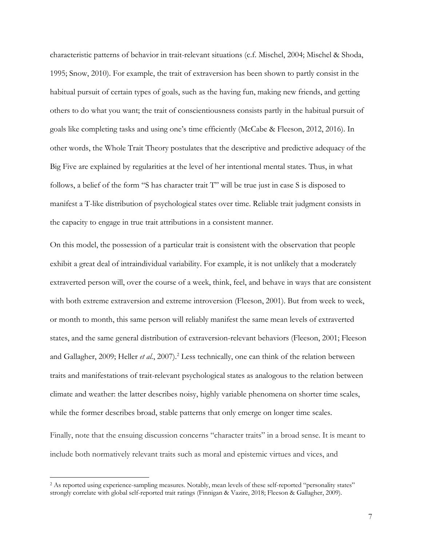characteristic patterns of behavior in trait-relevant situations (c.f. Mischel, 2004; Mischel & Shoda, 1995; Snow, 2010). For example, the trait of extraversion has been shown to partly consist in the habitual pursuit of certain types of goals, such as the having fun, making new friends, and getting others to do what you want; the trait of conscientiousness consists partly in the habitual pursuit of goals like completing tasks and using one's time efficiently (McCabe & Fleeson, 2012, 2016). In other words, the Whole Trait Theory postulates that the descriptive and predictive adequacy of the Big Five are explained by regularities at the level of her intentional mental states. Thus, in what follows, a belief of the form "S has character trait T" will be true just in case S is disposed to manifest a T-like distribution of psychological states over time. Reliable trait judgment consists in the capacity to engage in true trait attributions in a consistent manner.

On this model, the possession of a particular trait is consistent with the observation that people exhibit a great deal of intraindividual variability. For example, it is not unlikely that a moderately extraverted person will, over the course of a week, think, feel, and behave in ways that are consistent with both extreme extraversion and extreme introversion (Fleeson, 2001). But from week to week, or month to month, this same person will reliably manifest the same mean levels of extraverted states, and the same general distribution of extraversion-relevant behaviors (Fleeson, 2001; Fleeson and Gallagher, 2009; Heller *et al.*, 2007). <sup>2</sup> Less technically, one can think of the relation between traits and manifestations of trait-relevant psychological states as analogous to the relation between climate and weather: the latter describes noisy, highly variable phenomena on shorter time scales, while the former describes broad, stable patterns that only emerge on longer time scales. Finally, note that the ensuing discussion concerns "character traits" in a broad sense. It is meant to include both normatively relevant traits such as moral and epistemic virtues and vices, and

<sup>2</sup> As reported using experience-sampling measures. Notably, mean levels of these self-reported "personality states" strongly correlate with global self-reported trait ratings (Finnigan & Vazire, 2018; Fleeson & Gallagher, 2009).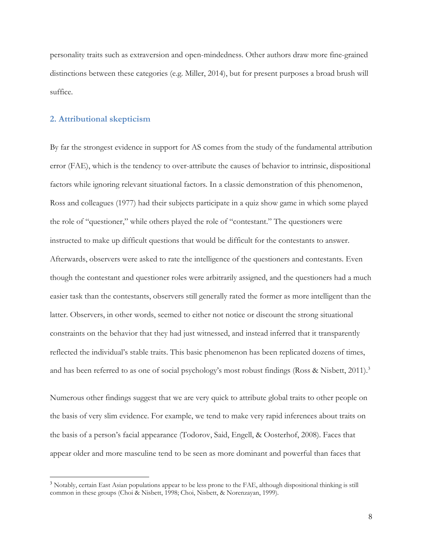personality traits such as extraversion and open-mindedness. Other authors draw more fine-grained distinctions between these categories (e.g. Miller, 2014), but for present purposes a broad brush will suffice.

## **2. Attributional skepticism**

 

By far the strongest evidence in support for AS comes from the study of the fundamental attribution error (FAE), which is the tendency to over-attribute the causes of behavior to intrinsic, dispositional factors while ignoring relevant situational factors. In a classic demonstration of this phenomenon, Ross and colleagues (1977) had their subjects participate in a quiz show game in which some played the role of "questioner," while others played the role of "contestant." The questioners were instructed to make up difficult questions that would be difficult for the contestants to answer. Afterwards, observers were asked to rate the intelligence of the questioners and contestants. Even though the contestant and questioner roles were arbitrarily assigned, and the questioners had a much easier task than the contestants, observers still generally rated the former as more intelligent than the latter. Observers, in other words, seemed to either not notice or discount the strong situational constraints on the behavior that they had just witnessed, and instead inferred that it transparently reflected the individual's stable traits. This basic phenomenon has been replicated dozens of times, and has been referred to as one of social psychology's most robust findings (Ross & Nisbett, 2011).<sup>3</sup>

Numerous other findings suggest that we are very quick to attribute global traits to other people on the basis of very slim evidence. For example, we tend to make very rapid inferences about traits on the basis of a person's facial appearance (Todorov, Said, Engell, & Oosterhof, 2008). Faces that appear older and more masculine tend to be seen as more dominant and powerful than faces that

<sup>3</sup> Notably, certain East Asian populations appear to be less prone to the FAE, although dispositional thinking is still common in these groups (Choi & Nisbett, 1998; Choi, Nisbett, & Norenzayan, 1999).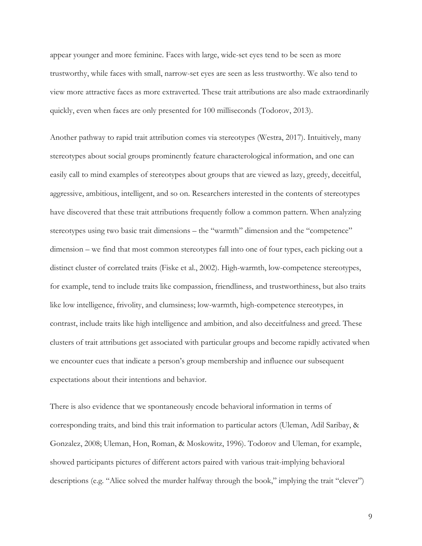appear younger and more feminine. Faces with large, wide-set eyes tend to be seen as more trustworthy, while faces with small, narrow-set eyes are seen as less trustworthy. We also tend to view more attractive faces as more extraverted. These trait attributions are also made extraordinarily quickly, even when faces are only presented for 100 milliseconds (Todorov, 2013).

Another pathway to rapid trait attribution comes via stereotypes (Westra, 2017). Intuitively, many stereotypes about social groups prominently feature characterological information, and one can easily call to mind examples of stereotypes about groups that are viewed as lazy, greedy, deceitful, aggressive, ambitious, intelligent, and so on. Researchers interested in the contents of stereotypes have discovered that these trait attributions frequently follow a common pattern. When analyzing stereotypes using two basic trait dimensions – the "warmth" dimension and the "competence" dimension – we find that most common stereotypes fall into one of four types, each picking out a distinct cluster of correlated traits (Fiske et al., 2002). High-warmth, low-competence stereotypes, for example, tend to include traits like compassion, friendliness, and trustworthiness, but also traits like low intelligence, frivolity, and clumsiness; low-warmth, high-competence stereotypes, in contrast, include traits like high intelligence and ambition, and also deceitfulness and greed. These clusters of trait attributions get associated with particular groups and become rapidly activated when we encounter cues that indicate a person's group membership and influence our subsequent expectations about their intentions and behavior.

There is also evidence that we spontaneously encode behavioral information in terms of corresponding traits, and bind this trait information to particular actors (Uleman, Adil Saribay, & Gonzalez, 2008; Uleman, Hon, Roman, & Moskowitz, 1996). Todorov and Uleman, for example, showed participants pictures of different actors paired with various trait-implying behavioral descriptions (e.g. "Alice solved the murder halfway through the book," implying the trait "clever")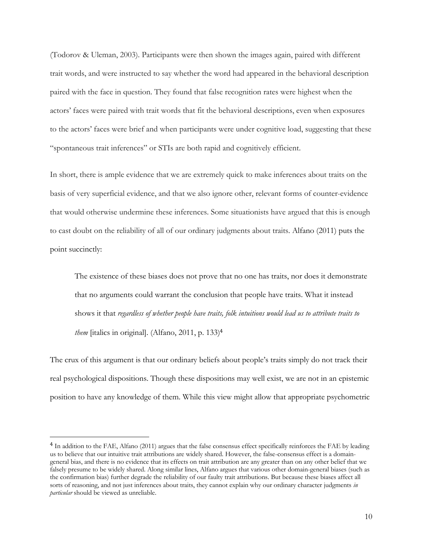(Todorov & Uleman, 2003). Participants were then shown the images again, paired with different trait words, and were instructed to say whether the word had appeared in the behavioral description paired with the face in question. They found that false recognition rates were highest when the actors' faces were paired with trait words that fit the behavioral descriptions, even when exposures to the actors' faces were brief and when participants were under cognitive load, suggesting that these "spontaneous trait inferences" or STIs are both rapid and cognitively efficient.

In short, there is ample evidence that we are extremely quick to make inferences about traits on the basis of very superficial evidence, and that we also ignore other, relevant forms of counter-evidence that would otherwise undermine these inferences. Some situationists have argued that this is enough to cast doubt on the reliability of all of our ordinary judgments about traits. Alfano (2011) puts the point succinctly:

The existence of these biases does not prove that no one has traits, nor does it demonstrate that no arguments could warrant the conclusion that people have traits. What it instead shows it that *regardless of whether people have traits, folk intuitions would lead us to attribute traits to them* [italics in original]. (Alfano, 2011, p. 133)<sup>4</sup>

The crux of this argument is that our ordinary beliefs about people's traits simply do not track their real psychological dispositions. Though these dispositions may well exist, we are not in an epistemic position to have any knowledge of them. While this view might allow that appropriate psychometric

<sup>4</sup> In addition to the FAE, Alfano (2011) argues that the false consensus effect specifically reinforces the FAE by leading us to believe that our intuitive trait attributions are widely shared. However, the false-consensus effect is a domaingeneral bias, and there is no evidence that its effects on trait attribution are any greater than on any other belief that we falsely presume to be widely shared. Along similar lines, Alfano argues that various other domain-general biases (such as the confirmation bias) further degrade the reliability of our faulty trait attributions. But because these biases affect all sorts of reasoning, and not just inferences about traits, they cannot explain why our ordinary character judgments *in particular* should be viewed as unreliable.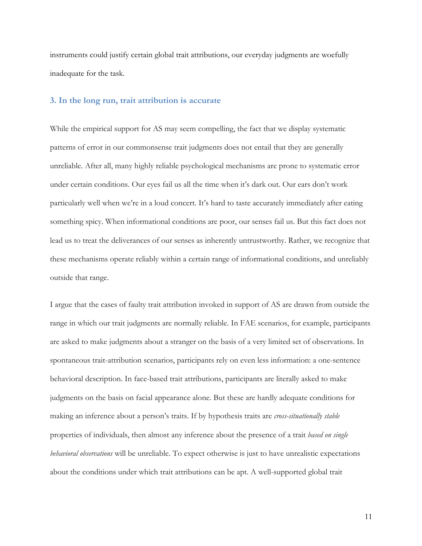instruments could justify certain global trait attributions, our everyday judgments are woefully inadequate for the task.

### **3. In the long run, trait attribution is accurate**

While the empirical support for AS may seem compelling, the fact that we display systematic patterns of error in our commonsense trait judgments does not entail that they are generally unreliable. After all, many highly reliable psychological mechanisms are prone to systematic error under certain conditions. Our eyes fail us all the time when it's dark out. Our ears don't work particularly well when we're in a loud concert. It's hard to taste accurately immediately after eating something spicy. When informational conditions are poor, our senses fail us. But this fact does not lead us to treat the deliverances of our senses as inherently untrustworthy. Rather, we recognize that these mechanisms operate reliably within a certain range of informational conditions, and unreliably outside that range.

I argue that the cases of faulty trait attribution invoked in support of AS are drawn from outside the range in which our trait judgments are normally reliable. In FAE scenarios, for example, participants are asked to make judgments about a stranger on the basis of a very limited set of observations. In spontaneous trait-attribution scenarios, participants rely on even less information: a one-sentence behavioral description. In face-based trait attributions, participants are literally asked to make judgments on the basis on facial appearance alone. But these are hardly adequate conditions for making an inference about a person's traits. If by hypothesis traits are *cross-situationally stable* properties of individuals, then almost any inference about the presence of a trait *based on single behavioral observations* will be unreliable. To expect otherwise is just to have unrealistic expectations about the conditions under which trait attributions can be apt. A well-supported global trait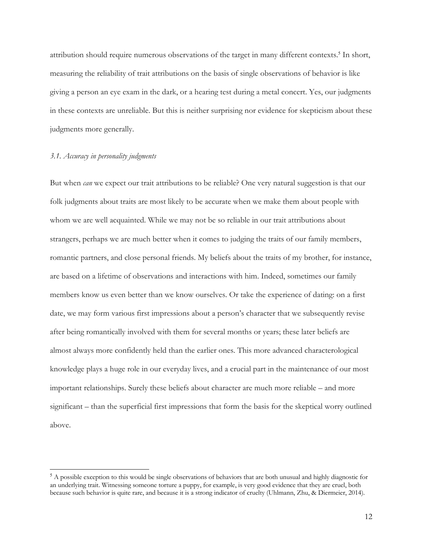attribution should require numerous observations of the target in many different contexts.<sup>5</sup> In short, measuring the reliability of trait attributions on the basis of single observations of behavior is like giving a person an eye exam in the dark, or a hearing test during a metal concert. Yes, our judgments in these contexts are unreliable. But this is neither surprising nor evidence for skepticism about these judgments more generally.

### *3.1. Accuracy in personality judgments*

 

But when *can* we expect our trait attributions to be reliable? One very natural suggestion is that our folk judgments about traits are most likely to be accurate when we make them about people with whom we are well acquainted. While we may not be so reliable in our trait attributions about strangers, perhaps we are much better when it comes to judging the traits of our family members, romantic partners, and close personal friends. My beliefs about the traits of my brother, for instance, are based on a lifetime of observations and interactions with him. Indeed, sometimes our family members know us even better than we know ourselves. Or take the experience of dating: on a first date, we may form various first impressions about a person's character that we subsequently revise after being romantically involved with them for several months or years; these later beliefs are almost always more confidently held than the earlier ones. This more advanced characterological knowledge plays a huge role in our everyday lives, and a crucial part in the maintenance of our most important relationships. Surely these beliefs about character are much more reliable – and more significant – than the superficial first impressions that form the basis for the skeptical worry outlined above.

<sup>&</sup>lt;sup>5</sup> A possible exception to this would be single observations of behaviors that are both unusual and highly diagnostic for an underlying trait. Witnessing someone torture a puppy, for example, is very good evidence that they are cruel, both because such behavior is quite rare, and because it is a strong indicator of cruelty (Uhlmann, Zhu, & Diermeier, 2014).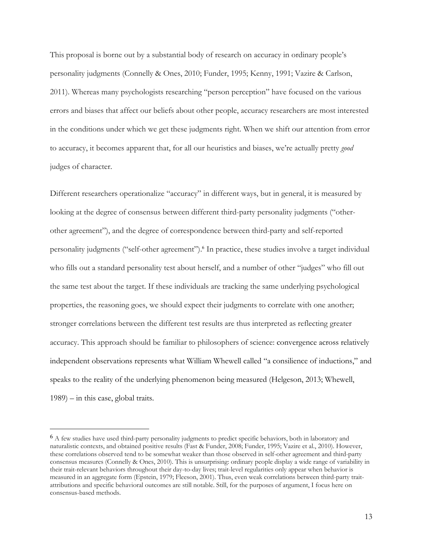This proposal is borne out by a substantial body of research on accuracy in ordinary people's personality judgments (Connelly & Ones, 2010; Funder, 1995; Kenny, 1991; Vazire & Carlson, 2011). Whereas many psychologists researching "person perception" have focused on the various errors and biases that affect our beliefs about other people, accuracy researchers are most interested in the conditions under which we get these judgments right. When we shift our attention from error to accuracy, it becomes apparent that, for all our heuristics and biases, we're actually pretty *good* judges of character.

Different researchers operationalize "accuracy" in different ways, but in general, it is measured by looking at the degree of consensus between different third-party personality judgments ("otherother agreement"), and the degree of correspondence between third-party and self-reported personality judgments ("self-other agreement").<sup>6</sup> In practice, these studies involve a target individual who fills out a standard personality test about herself, and a number of other "judges" who fill out the same test about the target. If these individuals are tracking the same underlying psychological properties, the reasoning goes, we should expect their judgments to correlate with one another; stronger correlations between the different test results are thus interpreted as reflecting greater accuracy. This approach should be familiar to philosophers of science: convergence across relatively independent observations represents what William Whewell called "a consilience of inductions," and speaks to the reality of the underlying phenomenon being measured (Helgeson, 2013; Whewell, 1989) – in this case, global traits.

<sup>6</sup> A few studies have used third-party personality judgments to predict specific behaviors, both in laboratory and naturalistic contexts, and obtained positive results (Fast & Funder, 2008; Funder, 1995; Vazire et al., 2010). However, these correlations observed tend to be somewhat weaker than those observed in self-other agreement and third-party consensus measures (Connelly & Ones, 2010). This is unsurprising: ordinary people display a wide range of variability in their trait-relevant behaviors throughout their day-to-day lives; trait-level regularities only appear when behavior is measured in an aggregate form (Epstein, 1979; Fleeson, 2001). Thus, even weak correlations between third-party traitattributions and specific behavioral outcomes are still notable. Still, for the purposes of argument, I focus here on consensus-based methods.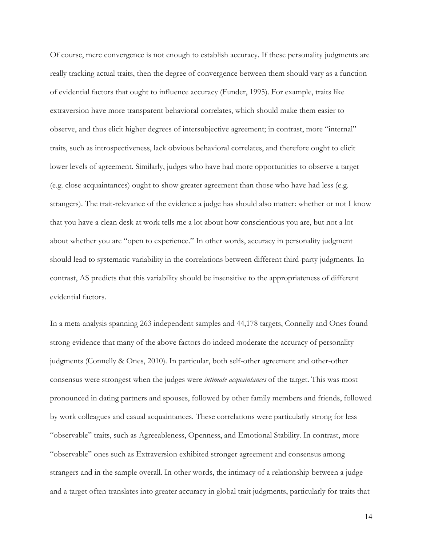Of course, mere convergence is not enough to establish accuracy. If these personality judgments are really tracking actual traits, then the degree of convergence between them should vary as a function of evidential factors that ought to influence accuracy (Funder, 1995). For example, traits like extraversion have more transparent behavioral correlates, which should make them easier to observe, and thus elicit higher degrees of intersubjective agreement; in contrast, more "internal" traits, such as introspectiveness, lack obvious behavioral correlates, and therefore ought to elicit lower levels of agreement. Similarly, judges who have had more opportunities to observe a target (e.g. close acquaintances) ought to show greater agreement than those who have had less (e.g. strangers). The trait-relevance of the evidence a judge has should also matter: whether or not I know that you have a clean desk at work tells me a lot about how conscientious you are, but not a lot about whether you are "open to experience." In other words, accuracy in personality judgment should lead to systematic variability in the correlations between different third-party judgments. In contrast, AS predicts that this variability should be insensitive to the appropriateness of different evidential factors.

In a meta-analysis spanning 263 independent samples and 44,178 targets, Connelly and Ones found strong evidence that many of the above factors do indeed moderate the accuracy of personality judgments (Connelly & Ones, 2010). In particular, both self-other agreement and other-other consensus were strongest when the judges were *intimate acquaintances* of the target. This was most pronounced in dating partners and spouses, followed by other family members and friends, followed by work colleagues and casual acquaintances. These correlations were particularly strong for less "observable" traits, such as Agreeableness, Openness, and Emotional Stability. In contrast, more "observable" ones such as Extraversion exhibited stronger agreement and consensus among strangers and in the sample overall. In other words, the intimacy of a relationship between a judge and a target often translates into greater accuracy in global trait judgments, particularly for traits that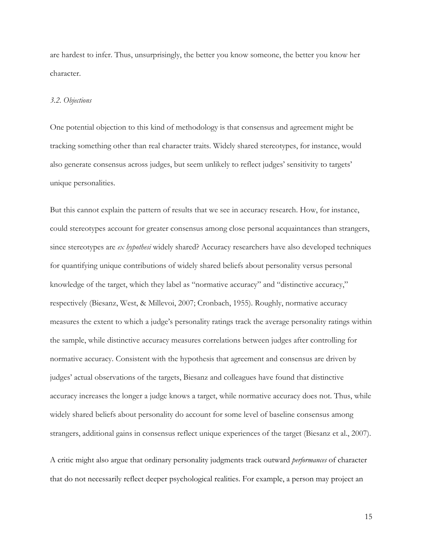are hardest to infer. Thus, unsurprisingly, the better you know someone, the better you know her character.

#### *3.2. Objections*

One potential objection to this kind of methodology is that consensus and agreement might be tracking something other than real character traits. Widely shared stereotypes, for instance, would also generate consensus across judges, but seem unlikely to reflect judges' sensitivity to targets' unique personalities.

But this cannot explain the pattern of results that we see in accuracy research. How, for instance, could stereotypes account for greater consensus among close personal acquaintances than strangers, since stereotypes are *ex hypothesi* widely shared? Accuracy researchers have also developed techniques for quantifying unique contributions of widely shared beliefs about personality versus personal knowledge of the target, which they label as "normative accuracy" and "distinctive accuracy," respectively (Biesanz, West, & Millevoi, 2007; Cronbach, 1955). Roughly, normative accuracy measures the extent to which a judge's personality ratings track the average personality ratings within the sample, while distinctive accuracy measures correlations between judges after controlling for normative accuracy. Consistent with the hypothesis that agreement and consensus are driven by judges' actual observations of the targets, Biesanz and colleagues have found that distinctive accuracy increases the longer a judge knows a target, while normative accuracy does not. Thus, while widely shared beliefs about personality do account for some level of baseline consensus among strangers, additional gains in consensus reflect unique experiences of the target (Biesanz et al., 2007).

A critic might also argue that ordinary personality judgments track outward *performances* of character that do not necessarily reflect deeper psychological realities. For example, a person may project an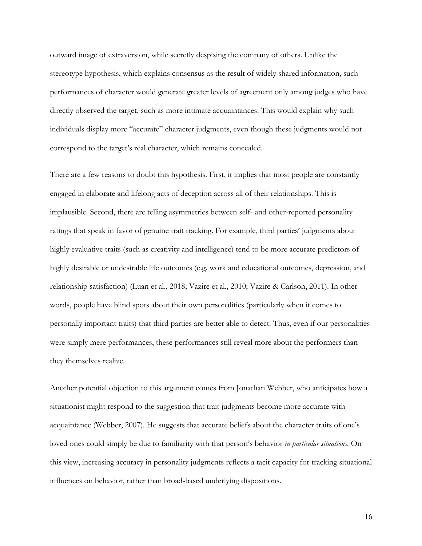outward image of extraversion, while secretly despising the company of others. Unlike the stereotype hypothesis, which explains consensus as the result of widely shared information, such performances of character would generate greater levels of agreement only among judges who have directly observed the target, such as more intimate acquaintances. This would explain why such individuals display more "accurate" character judgments, even though these judgments would not correspond to the target's real character, which remains concealed.

There are a few reasons to doubt this hypothesis. First, it implies that most people are constantly engaged in elaborate and lifelong acts of deception across all of their relationships. This is implausible. Second, there are telling asymmetries between self- and other-reported personality ratings that speak in favor of genuine trait tracking. For example, third parties' judgments about highly evaluative traits (such as creativity and intelligence) tend to be more accurate predictors of highly desirable or undesirable life outcomes (e.g. work and educational outcomes, depression, and relationship satisfaction) (Luan et al., 2018; Vazire et al., 2010; Vazire & Carlson, 2011). In other words, people have blind spots about their own personalities (particularly when it comes to personally important traits) that third parties are better able to detect. Thus, even if our personalities were simply mere performances, these performances still reveal more about the performers than they themselves realize.

Another potential objection to this argument comes from Jonathan Webber, who anticipates how a situationist might respond to the suggestion that trait judgments become more accurate with acquaintance (Webber, 2007). He suggests that accurate beliefs about the character traits of one's loved ones could simply be due to familiarity with that person's behavior *in particular situations*. On this view, increasing accuracy in personality judgments reflects a tacit capacity for tracking situational influences on behavior, rather than broad-based underlying dispositions.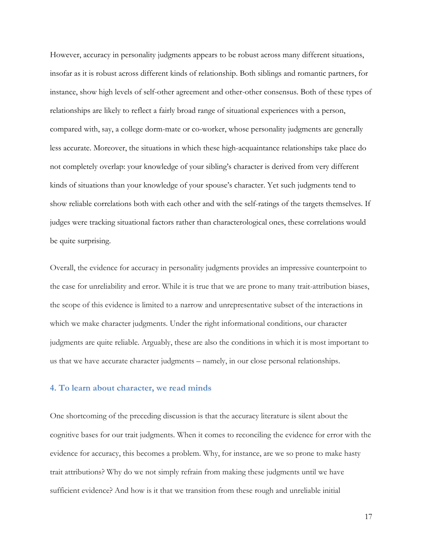However, accuracy in personality judgments appears to be robust across many different situations, insofar as it is robust across different kinds of relationship. Both siblings and romantic partners, for instance, show high levels of self-other agreement and other-other consensus. Both of these types of relationships are likely to reflect a fairly broad range of situational experiences with a person, compared with, say, a college dorm-mate or co-worker, whose personality judgments are generally less accurate. Moreover, the situations in which these high-acquaintance relationships take place do not completely overlap: your knowledge of your sibling's character is derived from very different kinds of situations than your knowledge of your spouse's character. Yet such judgments tend to show reliable correlations both with each other and with the self-ratings of the targets themselves. If judges were tracking situational factors rather than characterological ones, these correlations would be quite surprising.

Overall, the evidence for accuracy in personality judgments provides an impressive counterpoint to the case for unreliability and error. While it is true that we are prone to many trait-attribution biases, the scope of this evidence is limited to a narrow and unrepresentative subset of the interactions in which we make character judgments. Under the right informational conditions, our character judgments are quite reliable. Arguably, these are also the conditions in which it is most important to us that we have accurate character judgments – namely, in our close personal relationships.

## **4. To learn about character, we read minds**

One shortcoming of the preceding discussion is that the accuracy literature is silent about the cognitive bases for our trait judgments. When it comes to reconciling the evidence for error with the evidence for accuracy, this becomes a problem. Why, for instance, are we so prone to make hasty trait attributions? Why do we not simply refrain from making these judgments until we have sufficient evidence? And how is it that we transition from these rough and unreliable initial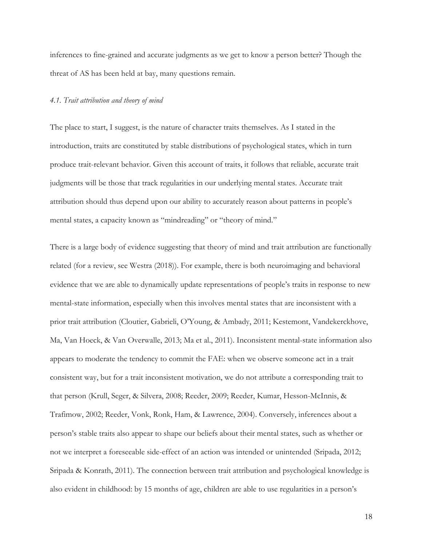inferences to fine-grained and accurate judgments as we get to know a person better? Though the threat of AS has been held at bay, many questions remain.

#### *4.1. Trait attribution and theory of mind*

The place to start, I suggest, is the nature of character traits themselves. As I stated in the introduction, traits are constituted by stable distributions of psychological states, which in turn produce trait-relevant behavior. Given this account of traits, it follows that reliable, accurate trait judgments will be those that track regularities in our underlying mental states. Accurate trait attribution should thus depend upon our ability to accurately reason about patterns in people's mental states, a capacity known as "mindreading" or "theory of mind."

There is a large body of evidence suggesting that theory of mind and trait attribution are functionally related (for a review, see Westra (2018)). For example, there is both neuroimaging and behavioral evidence that we are able to dynamically update representations of people's traits in response to new mental-state information, especially when this involves mental states that are inconsistent with a prior trait attribution (Cloutier, Gabrieli, O'Young, & Ambady, 2011; Kestemont, Vandekerckhove, Ma, Van Hoeck, & Van Overwalle, 2013; Ma et al., 2011). Inconsistent mental-state information also appears to moderate the tendency to commit the FAE: when we observe someone act in a trait consistent way, but for a trait inconsistent motivation, we do not attribute a corresponding trait to that person (Krull, Seger, & Silvera, 2008; Reeder, 2009; Reeder, Kumar, Hesson-McInnis, & Trafimow, 2002; Reeder, Vonk, Ronk, Ham, & Lawrence, 2004). Conversely, inferences about a person's stable traits also appear to shape our beliefs about their mental states, such as whether or not we interpret a foreseeable side-effect of an action was intended or unintended (Sripada, 2012; Sripada & Konrath, 2011). The connection between trait attribution and psychological knowledge is also evident in childhood: by 15 months of age, children are able to use regularities in a person's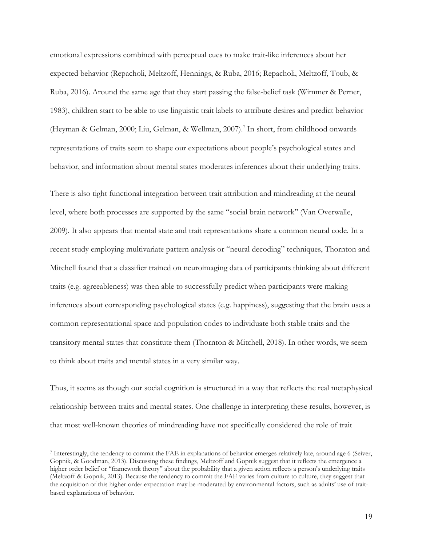emotional expressions combined with perceptual cues to make trait-like inferences about her expected behavior (Repacholi, Meltzoff, Hennings, & Ruba, 2016; Repacholi, Meltzoff, Toub, & Ruba, 2016). Around the same age that they start passing the false-belief task (Wimmer & Perner, 1983), children start to be able to use linguistic trait labels to attribute desires and predict behavior (Heyman & Gelman, 2000; Liu, Gelman, & Wellman, 2007). <sup>7</sup> In short, from childhood onwards representations of traits seem to shape our expectations about people's psychological states and behavior, and information about mental states moderates inferences about their underlying traits.

There is also tight functional integration between trait attribution and mindreading at the neural level, where both processes are supported by the same "social brain network" (Van Overwalle, 2009). It also appears that mental state and trait representations share a common neural code. In a recent study employing multivariate pattern analysis or "neural decoding" techniques, Thornton and Mitchell found that a classifier trained on neuroimaging data of participants thinking about different traits (e.g. agreeableness) was then able to successfully predict when participants were making inferences about corresponding psychological states (e.g. happiness), suggesting that the brain uses a common representational space and population codes to individuate both stable traits and the transitory mental states that constitute them (Thornton & Mitchell, 2018). In other words, we seem to think about traits and mental states in a very similar way.

Thus, it seems as though our social cognition is structured in a way that reflects the real metaphysical relationship between traits and mental states. One challenge in interpreting these results, however, is that most well-known theories of mindreading have not specifically considered the role of trait

<sup>7</sup> Interestingly, the tendency to commit the FAE in explanations of behavior emerges relatively late, around age 6 (Seiver, Gopnik, & Goodman, 2013). Discussing these findings, Meltzoff and Gopnik suggest that it reflects the emergence a higher order belief or "framework theory" about the probability that a given action reflects a person's underlying traits (Meltzoff & Gopnik, 2013). Because the tendency to commit the FAE varies from culture to culture, they suggest that the acquisition of this higher order expectation may be moderated by environmental factors, such as adults' use of traitbased explanations of behavior.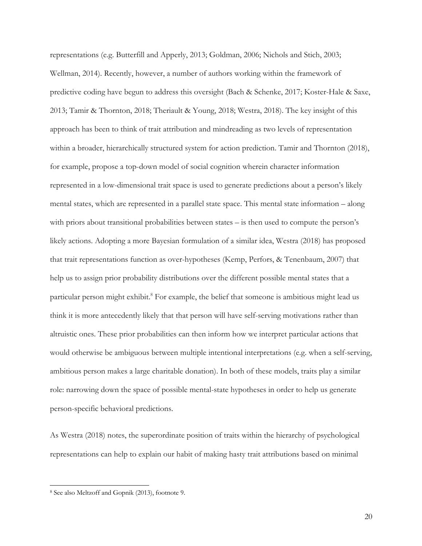representations (e.g. Butterfill and Apperly, 2013; Goldman, 2006; Nichols and Stich, 2003; Wellman, 2014). Recently, however, a number of authors working within the framework of predictive coding have begun to address this oversight (Bach & Schenke, 2017; Koster-Hale & Saxe, 2013; Tamir & Thornton, 2018; Theriault & Young, 2018; Westra, 2018). The key insight of this approach has been to think of trait attribution and mindreading as two levels of representation within a broader, hierarchically structured system for action prediction. Tamir and Thornton (2018), for example, propose a top-down model of social cognition wherein character information represented in a low-dimensional trait space is used to generate predictions about a person's likely mental states, which are represented in a parallel state space. This mental state information – along with priors about transitional probabilities between states – is then used to compute the person's likely actions. Adopting a more Bayesian formulation of a similar idea, Westra (2018) has proposed that trait representations function as over-hypotheses (Kemp, Perfors, & Tenenbaum, 2007) that help us to assign prior probability distributions over the different possible mental states that a particular person might exhibit.<sup>8</sup> For example, the belief that someone is ambitious might lead us think it is more antecedently likely that that person will have self-serving motivations rather than altruistic ones. These prior probabilities can then inform how we interpret particular actions that would otherwise be ambiguous between multiple intentional interpretations (e.g. when a self-serving, ambitious person makes a large charitable donation). In both of these models, traits play a similar role: narrowing down the space of possible mental-state hypotheses in order to help us generate person-specific behavioral predictions.

As Westra (2018) notes, the superordinate position of traits within the hierarchy of psychological representations can help to explain our habit of making hasty trait attributions based on minimal

<sup>8</sup> See also Meltzoff and Gopnik (2013), footnote 9.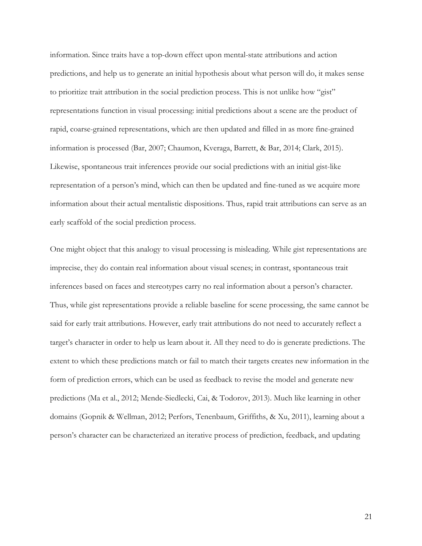information. Since traits have a top-down effect upon mental-state attributions and action predictions, and help us to generate an initial hypothesis about what person will do, it makes sense to prioritize trait attribution in the social prediction process. This is not unlike how "gist" representations function in visual processing: initial predictions about a scene are the product of rapid, coarse-grained representations, which are then updated and filled in as more fine-grained information is processed (Bar, 2007; Chaumon, Kveraga, Barrett, & Bar, 2014; Clark, 2015). Likewise, spontaneous trait inferences provide our social predictions with an initial gist-like representation of a person's mind, which can then be updated and fine-tuned as we acquire more information about their actual mentalistic dispositions. Thus, rapid trait attributions can serve as an early scaffold of the social prediction process.

One might object that this analogy to visual processing is misleading. While gist representations are imprecise, they do contain real information about visual scenes; in contrast, spontaneous trait inferences based on faces and stereotypes carry no real information about a person's character. Thus, while gist representations provide a reliable baseline for scene processing, the same cannot be said for early trait attributions. However, early trait attributions do not need to accurately reflect a target's character in order to help us learn about it. All they need to do is generate predictions. The extent to which these predictions match or fail to match their targets creates new information in the form of prediction errors, which can be used as feedback to revise the model and generate new predictions (Ma et al., 2012; Mende-Siedlecki, Cai, & Todorov, 2013). Much like learning in other domains (Gopnik & Wellman, 2012; Perfors, Tenenbaum, Griffiths, & Xu, 2011), learning about a person's character can be characterized an iterative process of prediction, feedback, and updating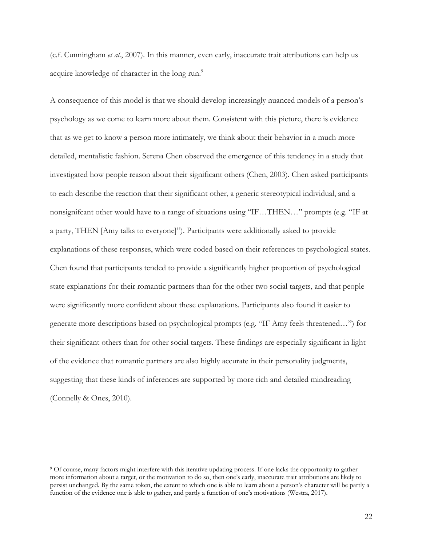(c.f. Cunningham *et al.*, 2007). In this manner, even early, inaccurate trait attributions can help us acquire knowledge of character in the long run.<sup>9</sup>

A consequence of this model is that we should develop increasingly nuanced models of a person's psychology as we come to learn more about them. Consistent with this picture, there is evidence that as we get to know a person more intimately, we think about their behavior in a much more detailed, mentalistic fashion. Serena Chen observed the emergence of this tendency in a study that investigated how people reason about their significant others (Chen, 2003). Chen asked participants to each describe the reaction that their significant other, a generic stereotypical individual, and a nonsignifcant other would have to a range of situations using "IF…THEN…" prompts (e.g. "IF at a party, THEN [Amy talks to everyone]"). Participants were additionally asked to provide explanations of these responses, which were coded based on their references to psychological states. Chen found that participants tended to provide a significantly higher proportion of psychological state explanations for their romantic partners than for the other two social targets, and that people were significantly more confident about these explanations. Participants also found it easier to generate more descriptions based on psychological prompts (e.g. "IF Amy feels threatened…") for their significant others than for other social targets. These findings are especially significant in light of the evidence that romantic partners are also highly accurate in their personality judgments, suggesting that these kinds of inferences are supported by more rich and detailed mindreading (Connelly & Ones, 2010).

<sup>9</sup> Of course, many factors might interfere with this iterative updating process. If one lacks the opportunity to gather more information about a target, or the motivation to do so, then one's early, inaccurate trait attributions are likely to persist unchanged. By the same token, the extent to which one is able to learn about a person's character will be partly a function of the evidence one is able to gather, and partly a function of one's motivations (Westra, 2017).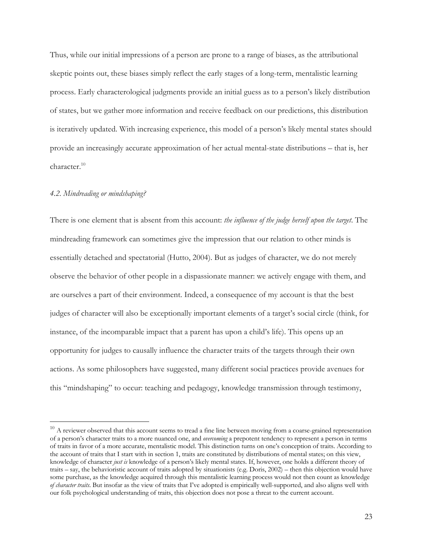Thus, while our initial impressions of a person are prone to a range of biases, as the attributional skeptic points out, these biases simply reflect the early stages of a long-term, mentalistic learning process. Early characterological judgments provide an initial guess as to a person's likely distribution of states, but we gather more information and receive feedback on our predictions, this distribution is iteratively updated. With increasing experience, this model of a person's likely mental states should provide an increasingly accurate approximation of her actual mental-state distributions – that is, her character.10

## *4.2. Mindreading or mindshaping?*

 

There is one element that is absent from this account: *the influence of the judge herself upon the target*. The mindreading framework can sometimes give the impression that our relation to other minds is essentially detached and spectatorial (Hutto, 2004). But as judges of character, we do not merely observe the behavior of other people in a dispassionate manner: we actively engage with them, and are ourselves a part of their environment. Indeed, a consequence of my account is that the best judges of character will also be exceptionally important elements of a target's social circle (think, for instance, of the incomparable impact that a parent has upon a child's life). This opens up an opportunity for judges to causally influence the character traits of the targets through their own actions. As some philosophers have suggested, many different social practices provide avenues for this "mindshaping" to occur: teaching and pedagogy, knowledge transmission through testimony,

 $10$  A reviewer observed that this account seems to tread a fine line between moving from a coarse-grained representation of a person's character traits to a more nuanced one, and *overcoming* a prepotent tendency to represent a person in terms of traits in favor of a more accurate, mentalistic model. This distinction turns on one's conception of traits. According to the account of traits that I start with in section 1, traits are constituted by distributions of mental states; on this view, knowledge of character *just is* knowledge of a person's likely mental states. If, however, one holds a different theory of traits – say, the behavioristic account of traits adopted by situationists (e.g. Doris, 2002) – then this objection would have some purchase, as the knowledge acquired through this mentalistic learning process would not then count as knowledge *of character traits*. But insofar as the view of traits that I've adopted is empirically well-supported, and also aligns well with our folk psychological understanding of traits, this objection does not pose a threat to the current account.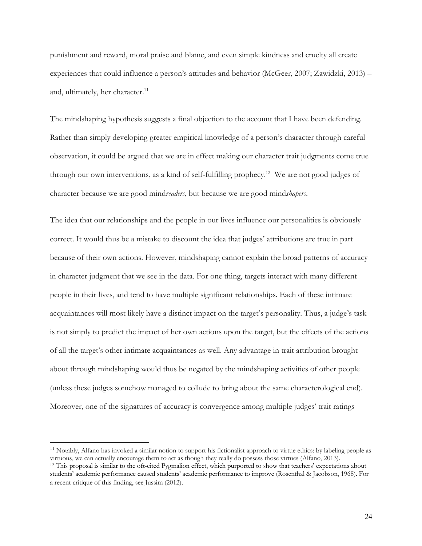punishment and reward, moral praise and blame, and even simple kindness and cruelty all create experiences that could influence a person's attitudes and behavior (McGeer, 2007; Zawidzki, 2013) – and, ultimately, her character.<sup>11</sup>

The mindshaping hypothesis suggests a final objection to the account that I have been defending. Rather than simply developing greater empirical knowledge of a person's character through careful observation, it could be argued that we are in effect making our character trait judgments come true through our own interventions, as a kind of self-fulfilling prophecy.12 We are not good judges of character because we are good mind*readers*, but because we are good mind*shapers*.

The idea that our relationships and the people in our lives influence our personalities is obviously correct. It would thus be a mistake to discount the idea that judges' attributions are true in part because of their own actions. However, mindshaping cannot explain the broad patterns of accuracy in character judgment that we see in the data. For one thing, targets interact with many different people in their lives, and tend to have multiple significant relationships. Each of these intimate acquaintances will most likely have a distinct impact on the target's personality. Thus, a judge's task is not simply to predict the impact of her own actions upon the target, but the effects of the actions of all the target's other intimate acquaintances as well. Any advantage in trait attribution brought about through mindshaping would thus be negated by the mindshaping activities of other people (unless these judges somehow managed to collude to bring about the same characterological end). Moreover, one of the signatures of accuracy is convergence among multiple judges' trait ratings

<sup>&</sup>lt;sup>11</sup> Notably, Alfano has invoked a similar notion to support his fictionalist approach to virtue ethics: by labeling people as virtuous, we can actually encourage them to act as though they really do possess those virtues

<sup>&</sup>lt;sup>12</sup> This proposal is similar to the oft-cited Pygmalion effect, which purported to show that teachers' expectations about students' academic performance caused students' academic performance to improve (Rosenthal & Jacobson, 1968). For a recent critique of this finding, see Jussim (2012).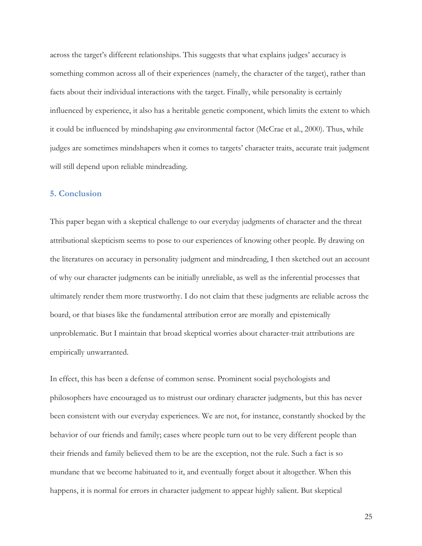across the target's different relationships. This suggests that what explains judges' accuracy is something common across all of their experiences (namely, the character of the target), rather than facts about their individual interactions with the target. Finally, while personality is certainly influenced by experience, it also has a heritable genetic component, which limits the extent to which it could be influenced by mindshaping *qua* environmental factor (McCrae et al., 2000). Thus, while judges are sometimes mindshapers when it comes to targets' character traits, accurate trait judgment will still depend upon reliable mindreading.

# **5. Conclusion**

This paper began with a skeptical challenge to our everyday judgments of character and the threat attributional skepticism seems to pose to our experiences of knowing other people. By drawing on the literatures on accuracy in personality judgment and mindreading, I then sketched out an account of why our character judgments can be initially unreliable, as well as the inferential processes that ultimately render them more trustworthy. I do not claim that these judgments are reliable across the board, or that biases like the fundamental attribution error are morally and epistemically unproblematic. But I maintain that broad skeptical worries about character-trait attributions are empirically unwarranted.

In effect, this has been a defense of common sense. Prominent social psychologists and philosophers have encouraged us to mistrust our ordinary character judgments, but this has never been consistent with our everyday experiences. We are not, for instance, constantly shocked by the behavior of our friends and family; cases where people turn out to be very different people than their friends and family believed them to be are the exception, not the rule. Such a fact is so mundane that we become habituated to it, and eventually forget about it altogether. When this happens, it is normal for errors in character judgment to appear highly salient. But skeptical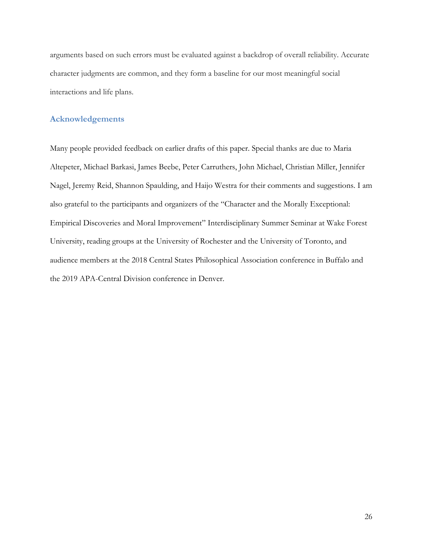arguments based on such errors must be evaluated against a backdrop of overall reliability. Accurate character judgments are common, and they form a baseline for our most meaningful social interactions and life plans.

## **Acknowledgements**

Many people provided feedback on earlier drafts of this paper. Special thanks are due to Maria Altepeter, Michael Barkasi, James Beebe, Peter Carruthers, John Michael, Christian Miller, Jennifer Nagel, Jeremy Reid, Shannon Spaulding, and Haijo Westra for their comments and suggestions. I am also grateful to the participants and organizers of the "Character and the Morally Exceptional: Empirical Discoveries and Moral Improvement" Interdisciplinary Summer Seminar at Wake Forest University, reading groups at the University of Rochester and the University of Toronto, and audience members at the 2018 Central States Philosophical Association conference in Buffalo and the 2019 APA-Central Division conference in Denver.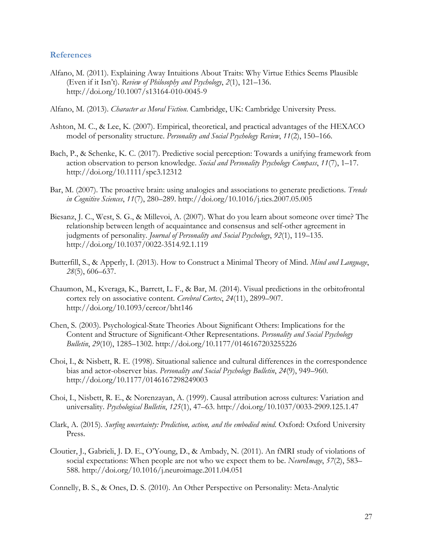# **References**

- Alfano, M. (2011). Explaining Away Intuitions About Traits: Why Virtue Ethics Seems Plausible (Even if it Isn't). *Review of Philosophy and Psychology*, *2*(1), 121–136. http://doi.org/10.1007/s13164-010-0045-9
- Alfano, M. (2013). *Character as Moral Fiction*. Cambridge, UK: Cambridge University Press.
- Ashton, M. C., & Lee, K. (2007). Empirical, theoretical, and practical advantages of the HEXACO model of personality structure. *Personality and Social Psychology Review*, *11*(2), 150–166.
- Bach, P., & Schenke, K. C. (2017). Predictive social perception: Towards a unifying framework from action observation to person knowledge. *Social and Personality Psychology Compass*, *11*(7), 1–17. http://doi.org/10.1111/spc3.12312
- Bar, M. (2007). The proactive brain: using analogies and associations to generate predictions. *Trends in Cognitive Sciences*, *11*(7), 280–289. http://doi.org/10.1016/j.tics.2007.05.005
- Biesanz, J. C., West, S. G., & Millevoi, A. (2007). What do you learn about someone over time? The relationship between length of acquaintance and consensus and self-other agreement in judgments of personality. *Journal of Personality and Social Psychology*, *92*(1), 119–135. http://doi.org/10.1037/0022-3514.92.1.119
- Butterfill, S., & Apperly, I. (2013). How to Construct a Minimal Theory of Mind. *Mind and Language*, *28*(5), 606–637.
- Chaumon, M., Kveraga, K., Barrett, L. F., & Bar, M. (2014). Visual predictions in the orbitofrontal cortex rely on associative content. *Cerebral Cortex*, *24*(11), 2899–907. http://doi.org/10.1093/cercor/bht146
- Chen, S. (2003). Psychological-State Theories About Significant Others: Implications for the Content and Structure of Significant-Other Representations. *Personality and Social Psychology Bulletin*, *29*(10), 1285–1302. http://doi.org/10.1177/0146167203255226
- Choi, I., & Nisbett, R. E. (1998). Situational salience and cultural differences in the correspondence bias and actor-observer bias. *Personality and Social Psychology Bulletin*, *24*(9), 949–960. http://doi.org/10.1177/0146167298249003
- Choi, I., Nisbett, R. E., & Norenzayan, A. (1999). Causal attribution across cultures: Variation and universality. *Psychological Bulletin*, *125*(1), 47–63. http://doi.org/10.1037/0033-2909.125.1.47
- Clark, A. (2015). *Surfing uncertainty: Prediction, action, and the embodied mind*. Oxford: Oxford University Press.
- Cloutier, J., Gabrieli, J. D. E., O'Young, D., & Ambady, N. (2011). An fMRI study of violations of social expectations: When people are not who we expect them to be. *NeuroImage*, *57*(2), 583– 588. http://doi.org/10.1016/j.neuroimage.2011.04.051

Connelly, B. S., & Ones, D. S. (2010). An Other Perspective on Personality: Meta-Analytic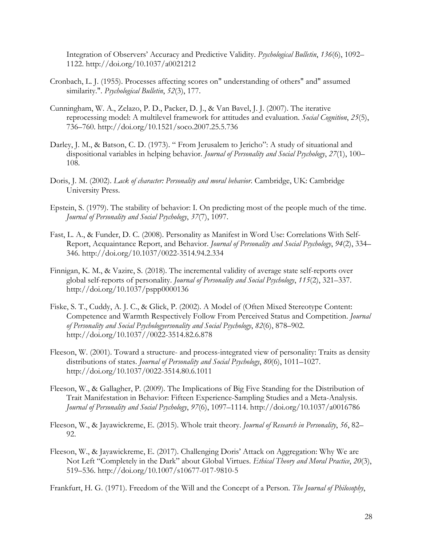Integration of Observers' Accuracy and Predictive Validity. *Psychological Bulletin*, *136*(6), 1092– 1122. http://doi.org/10.1037/a0021212

- Cronbach, L. J. (1955). Processes affecting scores on" understanding of others" and" assumed similarity.". *Psychological Bulletin*, *52*(3), 177.
- Cunningham, W. A., Zelazo, P. D., Packer, D. J., & Van Bavel, J. J. (2007). The iterative reprocessing model: A multilevel framework for attitudes and evaluation. *Social Cognition*, *25*(5), 736–760. http://doi.org/10.1521/soco.2007.25.5.736
- Darley, J. M., & Batson, C. D. (1973). " From Jerusalem to Jericho": A study of situational and dispositional variables in helping behavior. *Journal of Personality and Social Psychology*, *27*(1), 100– 108.
- Doris, J. M. (2002). *Lack of character: Personality and moral behavior*. Cambridge, UK: Cambridge University Press.
- Epstein, S. (1979). The stability of behavior: I. On predicting most of the people much of the time. *Journal of Personality and Social Psychology*, *37*(7), 1097.
- Fast, L. A., & Funder, D. C. (2008). Personality as Manifest in Word Use: Correlations With Self-Report, Acquaintance Report, and Behavior. *Journal of Personality and Social Psychology*, *94*(2), 334– 346. http://doi.org/10.1037/0022-3514.94.2.334
- Finnigan, K. M., & Vazire, S. (2018). The incremental validity of average state self-reports over global self-reports of personality. *Journal of Personality and Social Psychology*, *115*(2), 321–337. http://doi.org/10.1037/pspp0000136
- Fiske, S. T., Cuddy, A. J. C., & Glick, P. (2002). A Model of (Often Mixed Stereotype Content: Competence and Warmth Respectively Follow From Perceived Status and Competition. *Journal of Personality and Social Psychologyersonality and Social Psychology*, *82*(6), 878–902. http://doi.org/10.1037//0022-3514.82.6.878
- Fleeson, W. (2001). Toward a structure- and process-integrated view of personality: Traits as density distributions of states. *Journal of Personality and Social Psychology*, *80*(6), 1011–1027. http://doi.org/10.1037/0022-3514.80.6.1011
- Fleeson, W., & Gallagher, P. (2009). The Implications of Big Five Standing for the Distribution of Trait Manifestation in Behavior: Fifteen Experience-Sampling Studies and a Meta-Analysis. *Journal of Personality and Social Psychology*, *97*(6), 1097–1114. http://doi.org/10.1037/a0016786
- Fleeson, W., & Jayawickreme, E. (2015). Whole trait theory. *Journal of Research in Personality*, *56*, 82– 92.
- Fleeson, W., & Jayawickreme, E. (2017). Challenging Doris' Attack on Aggregation: Why We are Not Left "Completely in the Dark" about Global Virtues. *Ethical Theory and Moral Practice*, *20*(3), 519–536. http://doi.org/10.1007/s10677-017-9810-5

Frankfurt, H. G. (1971). Freedom of the Will and the Concept of a Person. *The Journal of Philosophy*,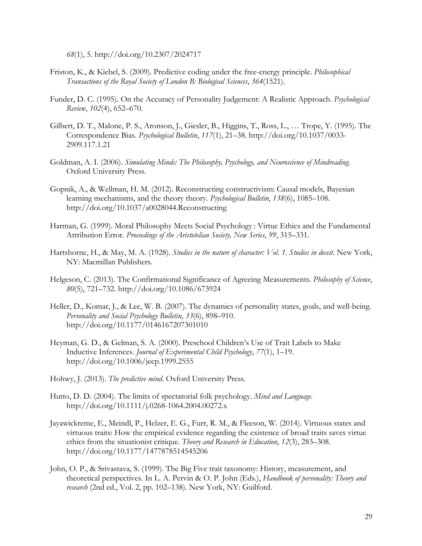*68*(1), 5. http://doi.org/10.2307/2024717

- Friston, K., & Kiebel, S. (2009). Predictive coding under the free-energy principle. *Philosophical Transactions of the Royal Society of London B: Biological Sciences*, *364*(1521).
- Funder, D. C. (1995). On the Accuracy of Personality Judgement: A Realistic Approach. *Psychological Review*, *102*(4), 652–670.
- Gilbert, D. T., Malone, P. S., Aronson, J., Giesler, B., Higgins, T., Ross, L., … Trope, Y. (1995). The Correspondence Bias. *Psychological Bulletin*, *117*(1), 21–38. http://doi.org/10.1037/0033- 2909.117.1.21
- Goldman, A. I. (2006). *Simulating Minds: The Philosophy, Psychology, and Neuroscience of Mindreading*. Oxford University Press.
- Gopnik, A., & Wellman, H. M. (2012). Reconstructing constructivism: Causal models, Bayesian learning mechanisms, and the theory theory. *Psychological Bulletin*, *138*(6), 1085–108. http://doi.org/10.1037/a0028044.Reconstructing
- Harman, G. (1999). Moral Philosophy Meets Social Psychology : Virtue Ethics and the Fundamental Attribution Error. *Proceedings of the Aristotelian Society, New Series*, *99*, 315–331.
- Hartshorne, H., & May, M. A. (1928). *Studies in the nature of character: Vol. 1. Studies in deceit*. New York, NY: Macmillan Publishers.
- Helgeson, C. (2013). The Confirmational Significance of Agreeing Measurements. *Philosophy of Science*, *80*(5), 721–732. http://doi.org/10.1086/673924
- Heller, D., Komar, J., & Lee, W. B. (2007). The dynamics of personality states, goals, and well-being. *Personality and Social Psychology Bulletin*, *33*(6), 898–910. http://doi.org/10.1177/0146167207301010
- Heyman, G. D., & Gelman, S. A. (2000). Preschool Children's Use of Trait Labels to Make Inductive Inferences. *Journal of Experimental Child Psychology*, *77*(1), 1–19. http://doi.org/10.1006/jecp.1999.2555
- Hohwy, J. (2013). *The predictive mind*. Oxford University Press.
- Hutto, D. D. (2004). The limits of spectatorial folk psychology. *Mind and Language*. http://doi.org/10.1111/j.0268-1064.2004.00272.x
- Jayawickreme, E., Meindl, P., Helzer, E. G., Furr, R. M., & Fleeson, W. (2014). Virtuous states and virtuous traits: How the empirical evidence regarding the existence of broad traits saves virtue ethics from the situationist critique. *Theory and Research in Education*, *12*(3), 283–308. http://doi.org/10.1177/1477878514545206
- John, O. P., & Srivastava, S. (1999). The Big Five trait taxonomy: History, measurement, and theoretical perspectives. In L. A. Pervin & O. P. John (Eds.), *Handbook of personality: Theory and research* (2nd ed., Vol. 2, pp. 102–138). New York, NY: Guilford.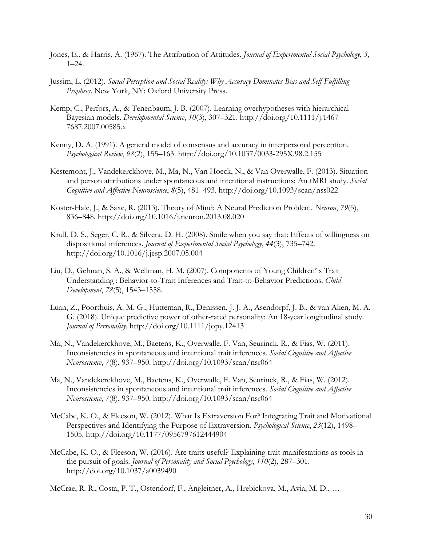- Jones, E., & Harris, A. (1967). The Attribution of Attitudes. *Journal of Experimental Social Psychology*, *3*, 1–24.
- Jussim, L. (2012). *Social Perception and Social Reality: Why Accuracy Dominates Bias and Self-Fulfilling Prophecy*. New York, NY: Oxford University Press.
- Kemp, C., Perfors, A., & Tenenbaum, J. B. (2007). Learning overhypotheses with hierarchical Bayesian models. *Developmental Science*, *10*(3), 307–321. http://doi.org/10.1111/j.1467- 7687.2007.00585.x
- Kenny, D. A. (1991). A general model of consensus and accuracy in interpersonal perception. *Psychological Review*, *98*(2), 155–163. http://doi.org/10.1037/0033-295X.98.2.155
- Kestemont, J., Vandekerckhove, M., Ma, N., Van Hoeck, N., & Van Overwalle, F. (2013). Situation and person attributions under spontaneous and intentional instructions: An fMRI study. *Social Cognitive and Affective Neuroscience*, *8*(5), 481–493. http://doi.org/10.1093/scan/nss022
- Koster-Hale, J., & Saxe, R. (2013). Theory of Mind: A Neural Prediction Problem. *Neuron*, *79*(5), 836–848. http://doi.org/10.1016/j.neuron.2013.08.020
- Krull, D. S., Seger, C. R., & Silvera, D. H. (2008). Smile when you say that: Effects of willingness on dispositional inferences. *Journal of Experimental Social Psychology*, *44*(3), 735–742. http://doi.org/10.1016/j.jesp.2007.05.004
- Liu, D., Gelman, S. A., & Wellman, H. M. (2007). Components of Young Children' s Trait Understanding : Behavior-to-Trait Inferences and Trait-to-Behavior Predictions. *Child Development*, *78*(5), 1543–1558.
- Luan, Z., Poorthuis, A. M. G., Hutteman, R., Denissen, J. J. A., Asendorpf, J. B., & van Aken, M. A. G. (2018). Unique predictive power of other-rated personality: An 18-year longitudinal study. *Journal of Personality*. http://doi.org/10.1111/jopy.12413
- Ma, N., Vandekerckhove, M., Baetens, K., Overwalle, F. Van, Seurinck, R., & Fias, W. (2011). Inconsistencies in spontaneous and intentional trait inferences. *Social Cognitive and Affective Neuroscience*, *7*(8), 937–950. http://doi.org/10.1093/scan/nsr064
- Ma, N., Vandekerckhove, M., Baetens, K., Overwalle, F. Van, Seurinck, R., & Fias, W. (2012). Inconsistencies in spontaneous and intentional trait inferences. *Social Cognitive and Affective Neuroscience*, *7*(8), 937–950. http://doi.org/10.1093/scan/nsr064
- McCabe, K. O., & Fleeson, W. (2012). What Is Extraversion For? Integrating Trait and Motivational Perspectives and Identifying the Purpose of Extraversion. *Psychological Science*, *23*(12), 1498– 1505. http://doi.org/10.1177/0956797612444904
- McCabe, K. O., & Fleeson, W. (2016). Are traits useful? Explaining trait manifestations as tools in the pursuit of goals. *Journal of Personality and Social Psychology*, *110*(2), 287–301. http://doi.org/10.1037/a0039490

McCrae, R. R., Costa, P. T., Ostendorf, F., Angleitner, A., Hrebickova, M., Avia, M. D., …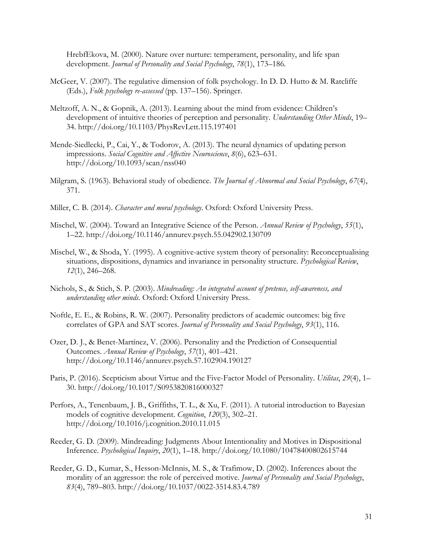HrebfEkova, M. (2000). Nature over nurture: temperament, personality, and life span development. *Journal of Personality and Social Psychology*, *78*(1), 173–186.

- McGeer, V. (2007). The regulative dimension of folk psychology. In D. D. Hutto & M. Ratcliffe (Eds.), *Folk psychology re-assessed* (pp. 137–156). Springer.
- Meltzoff, A. N., & Gopnik, A. (2013). Learning about the mind from evidence: Children's development of intuitive theories of perception and personality. *Understanding Other Minds*, 19– 34. http://doi.org/10.1103/PhysRevLett.115.197401
- Mende-Siedlecki, P., Cai, Y., & Todorov, A. (2013). The neural dynamics of updating person impressions. *Social Cognitive and Affective Neuroscience*, *8*(6), 623–631. http://doi.org/10.1093/scan/nss040
- Milgram, S. (1963). Behavioral study of obedience. *The Journal of Abnormal and Social Psychology*, *67*(4), 371.
- Miller, C. B. (2014). *Character and moral psychology*. Oxford: Oxford University Press.
- Mischel, W. (2004). Toward an Integrative Science of the Person. *Annual Review of Psychology*, *55*(1), 1–22. http://doi.org/10.1146/annurev.psych.55.042902.130709
- Mischel, W., & Shoda, Y. (1995). A cognitive-active system theory of personality: Reconceptualising situations, dispositions, dynamics and invariance in personality structure. *Psychological Review*, *12*(1), 246–268.
- Nichols, S., & Stich, S. P. (2003). *Mindreading: An integrated account of pretence, self-awareness, and understanding other minds.* Oxford: Oxford University Press.
- Noftle, E. E., & Robins, R. W. (2007). Personality predictors of academic outcomes: big five correlates of GPA and SAT scores. *Journal of Personality and Social Psychology*, *93*(1), 116.
- Ozer, D. J., & Benet-Martínez, V. (2006). Personality and the Prediction of Consequential Outcomes. *Annual Review of Psychology*, *57*(1), 401–421. http://doi.org/10.1146/annurev.psych.57.102904.190127
- Paris, P. (2016). Scepticism about Virtue and the Five-Factor Model of Personality. *Utilitas*, *29*(4), 1– 30. http://doi.org/10.1017/S0953820816000327
- Perfors, A., Tenenbaum, J. B., Griffiths, T. L., & Xu, F. (2011). A tutorial introduction to Bayesian models of cognitive development. *Cognition*, *120*(3), 302–21. http://doi.org/10.1016/j.cognition.2010.11.015
- Reeder, G. D. (2009). Mindreading: Judgments About Intentionality and Motives in Dispositional Inference. *Psychological Inquiry*, *20*(1), 1–18. http://doi.org/10.1080/10478400802615744
- Reeder, G. D., Kumar, S., Hesson-McInnis, M. S., & Trafimow, D. (2002). Inferences about the morality of an aggressor: the role of perceived motive. *Journal of Personality and Social Psychology*, *83*(4), 789–803. http://doi.org/10.1037/0022-3514.83.4.789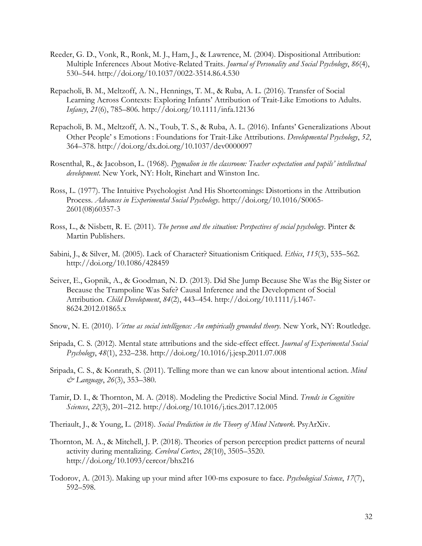- Reeder, G. D., Vonk, R., Ronk, M. J., Ham, J., & Lawrence, M. (2004). Dispositional Attribution: Multiple Inferences About Motive-Related Traits. *Journal of Personality and Social Psychology*, *86*(4), 530–544. http://doi.org/10.1037/0022-3514.86.4.530
- Repacholi, B. M., Meltzoff, A. N., Hennings, T. M., & Ruba, A. L. (2016). Transfer of Social Learning Across Contexts: Exploring Infants' Attribution of Trait-Like Emotions to Adults. *Infancy*, *21*(6), 785–806. http://doi.org/10.1111/infa.12136
- Repacholi, B. M., Meltzoff, A. N., Toub, T. S., & Ruba, A. L. (2016). Infants' Generalizations About Other People' s Emotions : Foundations for Trait-Like Attributions. *Developmental Psychology*, *52*, 364–378. http://doi.org/dx.doi.org/10.1037/dev0000097
- Rosenthal, R., & Jacobson, L. (1968). *Pygmalion in the classroom: Teacher expectation and pupils' intellectual development*. New York, NY: Holt, Rinehart and Winston Inc.
- Ross, L. (1977). The Intuitive Psychologist And His Shortcomings: Distortions in the Attribution Process. *Advances in Experimental Social Psychology*. http://doi.org/10.1016/S0065- 2601(08)60357-3
- Ross, L., & Nisbett, R. E. (2011). *The person and the situation: Perspectives of social psychology*. Pinter & Martin Publishers.
- Sabini, J., & Silver, M. (2005). Lack of Character? Situationism Critiqued. *Ethics*, *115*(3), 535–562. http://doi.org/10.1086/428459
- Seiver, E., Gopnik, A., & Goodman, N. D. (2013). Did She Jump Because She Was the Big Sister or Because the Trampoline Was Safe? Causal Inference and the Development of Social Attribution. *Child Development*, *84*(2), 443–454. http://doi.org/10.1111/j.1467- 8624.2012.01865.x
- Snow, N. E. (2010). *Virtue as social intelligence: An empirically grounded theory*. New York, NY: Routledge.
- Sripada, C. S. (2012). Mental state attributions and the side-effect effect. *Journal of Experimental Social Psychology*, *48*(1), 232–238. http://doi.org/10.1016/j.jesp.2011.07.008
- Sripada, C. S., & Konrath, S. (2011). Telling more than we can know about intentional action. *Mind & Language*, *26*(3), 353–380.
- Tamir, D. I., & Thornton, M. A. (2018). Modeling the Predictive Social Mind. *Trends in Cognitive Sciences*, *22*(3), 201–212. http://doi.org/10.1016/j.tics.2017.12.005

Theriault, J., & Young, L. (2018). *Social Prediction in the Theory of Mind Network*. PsyArXiv.

- Thornton, M. A., & Mitchell, J. P. (2018). Theories of person perception predict patterns of neural activity during mentalizing. *Cerebral Cortex*, *28*(10), 3505–3520. http://doi.org/10.1093/cercor/bhx216
- Todorov, A. (2013). Making up your mind after 100-ms exposure to face. *Psychological Science*, *17*(7), 592–598.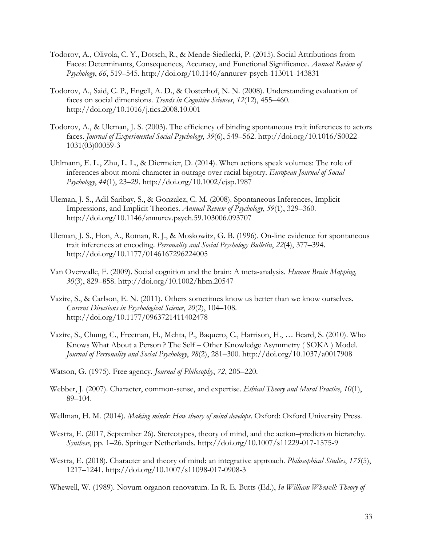- Todorov, A., Olivola, C. Y., Dotsch, R., & Mende-Siedlecki, P. (2015). Social Attributions from Faces: Determinants, Consequences, Accuracy, and Functional Significance. *Annual Review of Psychology*, *66*, 519–545. http://doi.org/10.1146/annurev-psych-113011-143831
- Todorov, A., Said, C. P., Engell, A. D., & Oosterhof, N. N. (2008). Understanding evaluation of faces on social dimensions. *Trends in Cognitive Sciences*, *12*(12), 455–460. http://doi.org/10.1016/j.tics.2008.10.001
- Todorov, A., & Uleman, J. S. (2003). The efficiency of binding spontaneous trait inferences to actors faces. *Journal of Experimental Social Psychology*, *39*(6), 549–562. http://doi.org/10.1016/S0022- 1031(03)00059-3
- Uhlmann, E. L., Zhu, L. L., & Diermeier, D. (2014). When actions speak volumes: The role of inferences about moral character in outrage over racial bigotry. *European Journal of Social Psychology*, *44*(1), 23–29. http://doi.org/10.1002/ejsp.1987
- Uleman, J. S., Adil Saribay, S., & Gonzalez, C. M. (2008). Spontaneous Inferences, Implicit Impressions, and Implicit Theories. *Annual Review of Psychology*, *59*(1), 329–360. http://doi.org/10.1146/annurev.psych.59.103006.093707
- Uleman, J. S., Hon, A., Roman, R. J., & Moskowitz, G. B. (1996). On-line evidence for spontaneous trait inferences at encoding. *Personality and Social Psychology Bulletin*, *22*(4), 377–394. http://doi.org/10.1177/0146167296224005
- Van Overwalle, F. (2009). Social cognition and the brain: A meta-analysis. *Human Brain Mapping*, *30*(3), 829–858. http://doi.org/10.1002/hbm.20547
- Vazire, S., & Carlson, E. N. (2011). Others sometimes know us better than we know ourselves. *Current Directions in Psychological Science*, *20*(2), 104–108. http://doi.org/10.1177/0963721411402478
- Vazire, S., Chung, C., Freeman, H., Mehta, P., Baquero, C., Harrison, H., … Beard, S. (2010). Who Knows What About a Person ? The Self – Other Knowledge Asymmetry ( SOKA ) Model. *Journal of Personality and Social Psychology*, *98*(2), 281–300. http://doi.org/10.1037/a0017908
- Watson, G. (1975). Free agency. *Journal of Philosophy*, *72*, 205–220.
- Webber, J. (2007). Character, common-sense, and expertise. *Ethical Theory and Moral Practice*, *10*(1), 89–104.
- Wellman, H. M. (2014). *Making minds: How theory of mind develops*. Oxford: Oxford University Press.
- Westra, E. (2017, September 26). Stereotypes, theory of mind, and the action–prediction hierarchy. *Synthese*, pp. 1–26. Springer Netherlands. http://doi.org/10.1007/s11229-017-1575-9
- Westra, E. (2018). Character and theory of mind: an integrative approach. *Philosophical Studies*, *175*(5), 1217–1241. http://doi.org/10.1007/s11098-017-0908-3

Whewell, W. (1989). Novum organon renovatum. In R. E. Butts (Ed.), *In William Whewell: Theory of*